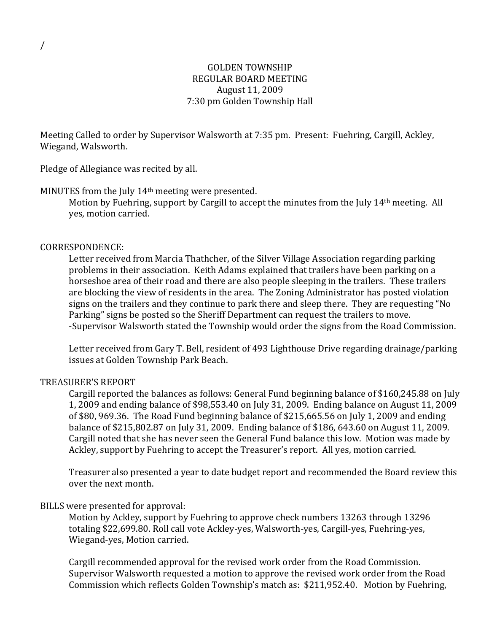# GOLDEN TOWNSHIP REGULAR BOARD MEETING August 11, 2009 7:30 pm Golden Township Hall

Meeting Called to order by Supervisor Walsworth at 7:35 pm. Present: Fuehring, Cargill, Ackley, Wiegand, Walsworth.

Pledge of Allegiance was recited by all.

### MINUTES from the July 14<sup>th</sup> meeting were presented.

Motion by Fuehring, support by Cargill to accept the minutes from the July 14th meeting. All yes, motion carried.

### CORRESPONDENCE:

Letter received from Marcia Thathcher, of the Silver Village Association regarding parking problems in their association. Keith Adams explained that trailers have been parking on a horseshoe area of their road and there are also people sleeping in the trailers. These trailers are blocking the view of residents in the area. The Zoning Administrator has posted violation signs on the trailers and they continue to park there and sleep there. They are requesting "No Parking" signs be posted so the Sheriff Department can request the trailers to move. -Supervisor Walsworth stated the Township would order the signs from the Road Commission.

Letter received from Gary T. Bell, resident of 493 Lighthouse Drive regarding drainage/parking issues at Golden Township Park Beach.

# TREASURER'S REPORT

Cargill reported the balances as follows: General Fund beginning balance of \$160,245.88 on July 1, 2009 and ending balance of \$98,553.40 on July 31, 2009. Ending balance on August 11, 2009 of \$80, 969.36. The Road Fund beginning balance of \$215,665.56 on July 1, 2009 and ending balance of \$215,802.87 on July 31, 2009. Ending balance of \$186, 643.60 on August 11, 2009. Cargill noted that she has never seen the General Fund balance this low. Motion was made by Ackley, support by Fuehring to accept the Treasurer's report. All yes, motion carried.

Treasurer also presented a year to date budget report and recommended the Board review this over the next month.

#### BILLS were presented for approval:

Motion by Ackley, support by Fuehring to approve check numbers 13263 through 13296 totaling \$22,699.80. Roll call vote Ackley-yes, Walsworth-yes, Cargill-yes, Fuehring-yes, Wiegand-yes, Motion carried.

Cargill recommended approval for the revised work order from the Road Commission. Supervisor Walsworth requested a motion to approve the revised work order from the Road Commission which reflects Golden Township's match as: \$211,952.40. Motion by Fuehring,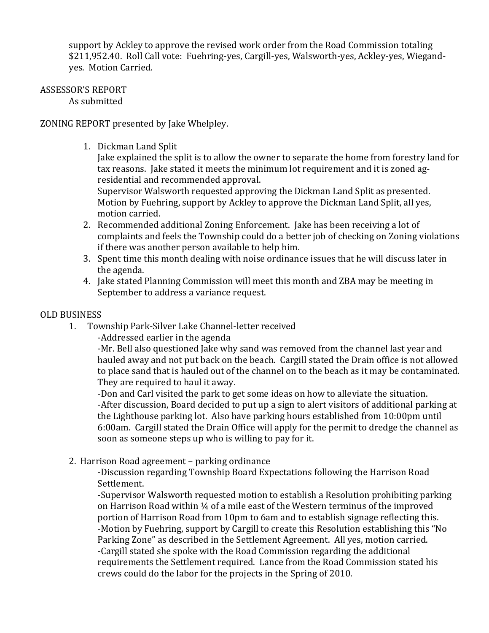support by Ackley to approve the revised work order from the Road Commission totaling \$211,952.40. Roll Call vote: Fuehring-yes, Cargill-yes, Walsworth-yes, Ackley-yes, Wiegandyes. Motion Carried.

#### ASSESSOR'S REPORT As submitted

ZONING REPORT presented by Jake Whelpley.

1. Dickman Land Split

Jake explained the split is to allow the owner to separate the home from forestry land for tax reasons. Jake stated it meets the minimum lot requirement and it is zoned agresidential and recommended approval.

Supervisor Walsworth requested approving the Dickman Land Split as presented. Motion by Fuehring, support by Ackley to approve the Dickman Land Split, all yes, motion carried.

- 2. Recommended additional Zoning Enforcement. Jake has been receiving a lot of complaints and feels the Township could do a better job of checking on Zoning violations if there was another person available to help him.
- 3. Spent time this month dealing with noise ordinance issues that he will discuss later in the agenda.
- 4. Jake stated Planning Commission will meet this month and ZBA may be meeting in September to address a variance request.

# OLD BUSINESS

1. Township Park-Silver Lake Channel-letter received

-Addressed earlier in the agenda

-Mr. Bell also questioned Jake why sand was removed from the channel last year and hauled away and not put back on the beach. Cargill stated the Drain office is not allowed to place sand that is hauled out of the channel on to the beach as it may be contaminated. They are required to haul it away.

-Don and Carl visited the park to get some ideas on how to alleviate the situation. -After discussion, Board decided to put up a sign to alert visitors of additional parking at the Lighthouse parking lot. Also have parking hours established from 10:00pm until 6:00am. Cargill stated the Drain Office will apply for the permit to dredge the channel as soon as someone steps up who is willing to pay for it.

2. Harrison Road agreement – parking ordinance

-Discussion regarding Township Board Expectations following the Harrison Road Settlement.

-Supervisor Walsworth requested motion to establish a Resolution prohibiting parking on Harrison Road within ¼ of a mile east of the Western terminus of the improved portion of Harrison Road from 10pm to 6am and to establish signage reflecting this. -Motion by Fuehring, support by Cargill to create this Resolution establishing this "No Parking Zone" as described in the Settlement Agreement. All yes, motion carried. -Cargill stated she spoke with the Road Commission regarding the additional requirements the Settlement required. Lance from the Road Commission stated his crews could do the labor for the projects in the Spring of 2010.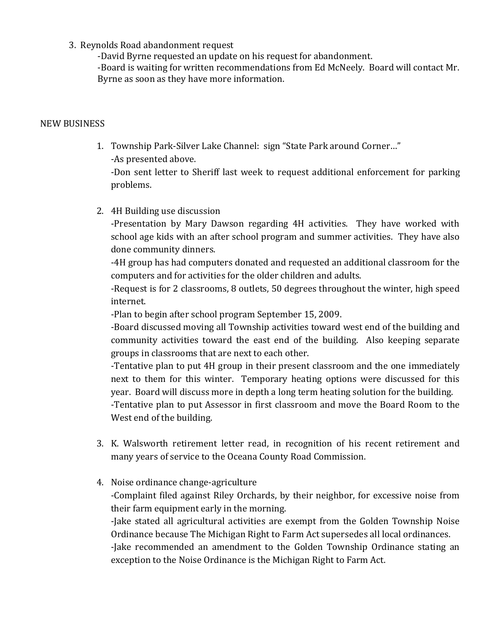3. Reynolds Road abandonment request

-David Byrne requested an update on his request for abandonment.

-Board is waiting for written recommendations from Ed McNeely. Board will contact Mr. Byrne as soon as they have more information.

# NEW BUSINESS

1. Township Park-Silver Lake Channel: sign "State Park around Corner…"

-As presented above.

-Don sent letter to Sheriff last week to request additional enforcement for parking problems.

2. 4H Building use discussion

-Presentation by Mary Dawson regarding 4H activities. They have worked with school age kids with an after school program and summer activities. They have also done community dinners.

-4H group has had computers donated and requested an additional classroom for the computers and for activities for the older children and adults.

-Request is for 2 classrooms, 8 outlets, 50 degrees throughout the winter, high speed internet.

-Plan to begin after school program September 15, 2009.

-Board discussed moving all Township activities toward west end of the building and community activities toward the east end of the building. Also keeping separate groups in classrooms that are next to each other.

-Tentative plan to put 4H group in their present classroom and the one immediately next to them for this winter. Temporary heating options were discussed for this year. Board will discuss more in depth a long term heating solution for the building.

-Tentative plan to put Assessor in first classroom and move the Board Room to the West end of the building.

- 3. K. Walsworth retirement letter read, in recognition of his recent retirement and many years of service to the Oceana County Road Commission.
- 4. Noise ordinance change-agriculture

-Complaint filed against Riley Orchards, by their neighbor, for excessive noise from their farm equipment early in the morning.

-Jake stated all agricultural activities are exempt from the Golden Township Noise Ordinance because The Michigan Right to Farm Act supersedes all local ordinances.

-Jake recommended an amendment to the Golden Township Ordinance stating an exception to the Noise Ordinance is the Michigan Right to Farm Act.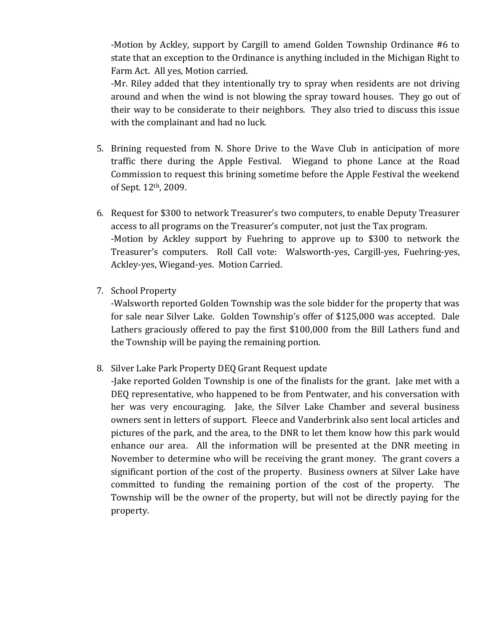-Motion by Ackley, support by Cargill to amend Golden Township Ordinance #6 to state that an exception to the Ordinance is anything included in the Michigan Right to Farm Act. All yes, Motion carried.

-Mr. Riley added that they intentionally try to spray when residents are not driving around and when the wind is not blowing the spray toward houses. They go out of their way to be considerate to their neighbors. They also tried to discuss this issue with the complainant and had no luck.

- 5. Brining requested from N. Shore Drive to the Wave Club in anticipation of more traffic there during the Apple Festival. Wiegand to phone Lance at the Road Commission to request this brining sometime before the Apple Festival the weekend of Sept. 12th, 2009.
- 6. Request for \$300 to network Treasurer's two computers, to enable Deputy Treasurer access to all programs on the Treasurer's computer, not just the Tax program. -Motion by Ackley support by Fuehring to approve up to \$300 to network the Treasurer's computers. Roll Call vote: Walsworth-yes, Cargill-yes, Fuehring-yes, Ackley-yes, Wiegand-yes. Motion Carried.
- 7. School Property

-Walsworth reported Golden Township was the sole bidder for the property that was for sale near Silver Lake. Golden Township's offer of \$125,000 was accepted. Dale Lathers graciously offered to pay the first \$100,000 from the Bill Lathers fund and the Township will be paying the remaining portion.

8. Silver Lake Park Property DEQ Grant Request update

-Jake reported Golden Township is one of the finalists for the grant. Jake met with a DEQ representative, who happened to be from Pentwater, and his conversation with her was very encouraging. Jake, the Silver Lake Chamber and several business owners sent in letters of support. Fleece and Vanderbrink also sent local articles and pictures of the park, and the area, to the DNR to let them know how this park would enhance our area. All the information will be presented at the DNR meeting in November to determine who will be receiving the grant money. The grant covers a significant portion of the cost of the property. Business owners at Silver Lake have committed to funding the remaining portion of the cost of the property. The Township will be the owner of the property, but will not be directly paying for the property.